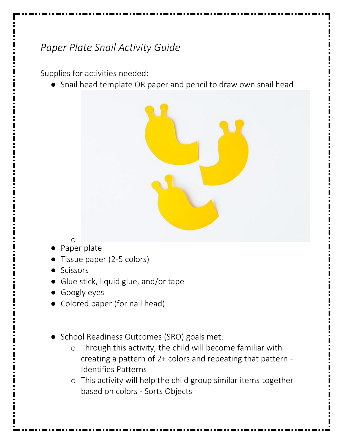## *Paper Plate Snail Activity Guide*

Supplies for activities needed:

● Snail head template OR paper and pencil to draw own snail head



- o ● Paper plate
- Tissue paper (2-5 colors)
- **Scissors**
- Glue stick, liquid glue, and/or tape
- Googly eyes
- Colored paper (for nail head)
- School Readiness Outcomes (SRO) goals met:
	- o Through this activity, the child will become familiar with creating a pattern of 2+ colors and repeating that pattern - Identifies Patterns
	- o This activity will help the child group similar items together based on colors - Sorts Objects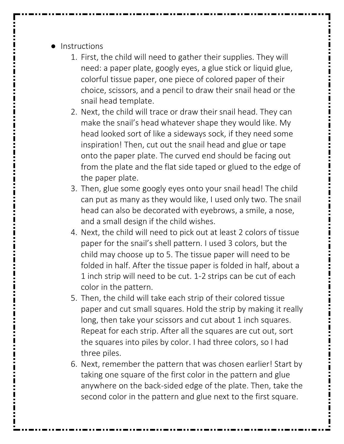- Instructions
	- 1. First, the child will need to gather their supplies. They will need: a paper plate, googly eyes, a glue stick or liquid glue, colorful tissue paper, one piece of colored paper of their choice, scissors, and a pencil to draw their snail head or the snail head template.
	- 2. Next, the child will trace or draw their snail head. They can make the snail's head whatever shape they would like. My head looked sort of like a sideways sock, if they need some inspiration! Then, cut out the snail head and glue or tape onto the paper plate. The curved end should be facing out from the plate and the flat side taped or glued to the edge of the paper plate.
	- 3. Then, glue some googly eyes onto your snail head! The child can put as many as they would like, I used only two. The snail head can also be decorated with eyebrows, a smile, a nose, and a small design if the child wishes.
	- 4. Next, the child will need to pick out at least 2 colors of tissue paper for the snail's shell pattern. I used 3 colors, but the child may choose up to 5. The tissue paper will need to be folded in half. After the tissue paper is folded in half, about a 1 inch strip will need to be cut. 1-2 strips can be cut of each color in the pattern.
	- 5. Then, the child will take each strip of their colored tissue paper and cut small squares. Hold the strip by making it really long, then take your scissors and cut about 1 inch squares. Repeat for each strip. After all the squares are cut out, sort the squares into piles by color. I had three colors, so I had three piles.
	- 6. Next, remember the pattern that was chosen earlier! Start by taking one square of the first color in the pattern and glue anywhere on the back-sided edge of the plate. Then, take the second color in the pattern and glue next to the first square.